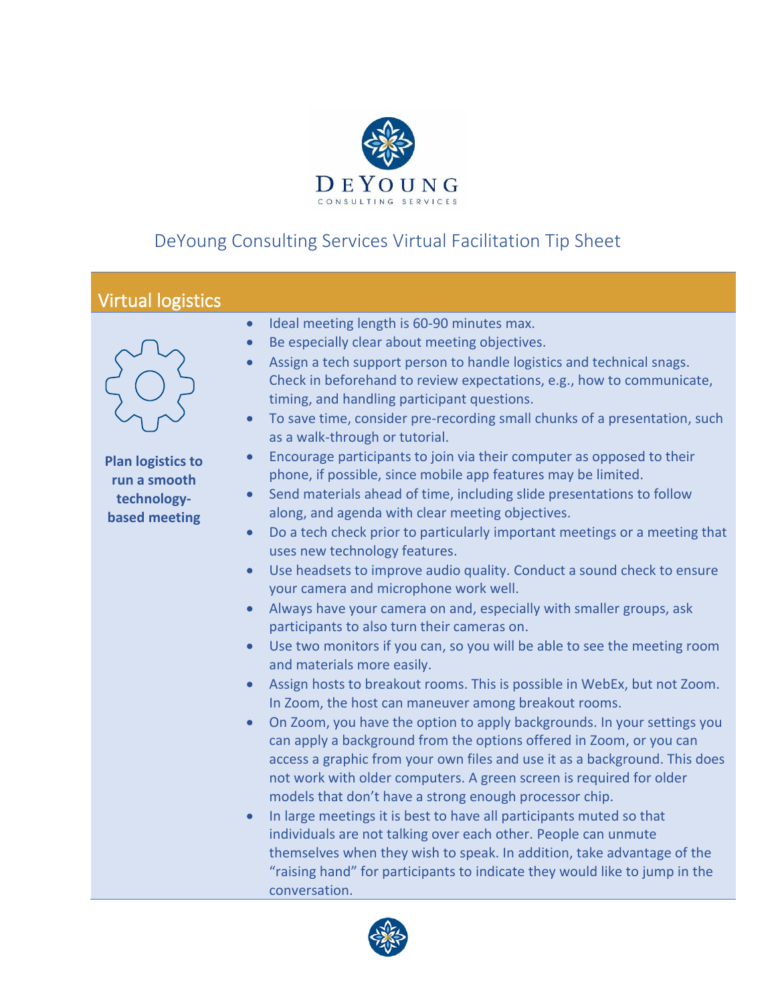

## DeYoung Consulting Services Virtual Facilitation Tip Sheet

## Virtual logistics



**Plan logistics to run a smooth technologybased meeting**

- Ideal meeting length is 60-90 minutes max.
- Be especially clear about meeting objectives.
- Assign a tech support person to handle logistics and technical snags. Check in beforehand to review expectations, e.g., how to communicate, timing, and handling participant questions.
- To save time, consider pre-recording small chunks of a presentation, such as a walk-through or tutorial.
- Encourage participants to join via their computer as opposed to their phone, if possible, since mobile app features may be limited.
- Send materials ahead of time, including slide presentations to follow along, and agenda with clear meeting objectives.
- Do a tech check prior to particularly important meetings or a meeting that uses new technology features.
- Use headsets to improve audio quality. Conduct a sound check to ensure your camera and microphone work well.
- Always have your camera on and, especially with smaller groups, ask participants to also turn their cameras on.
- Use two monitors if you can, so you will be able to see the meeting room and materials more easily.
- Assign hosts to breakout rooms. This is possible in WebEx, but not Zoom. In Zoom, the host can maneuver among breakout rooms.
- On Zoom, you have the option to apply backgrounds. In your settings you can apply a background from the options offered in Zoom, or you can access a graphic from your own files and use it as a background. This does not work with older computers. A green screen is required for older models that don't have a strong enough processor chip.
- In large meetings it is best to have all participants muted so that individuals are not talking over each other. People can unmute themselves when they wish to speak. In addition, take advantage of the "raising hand" for participants to indicate they would like to jump in the conversation.

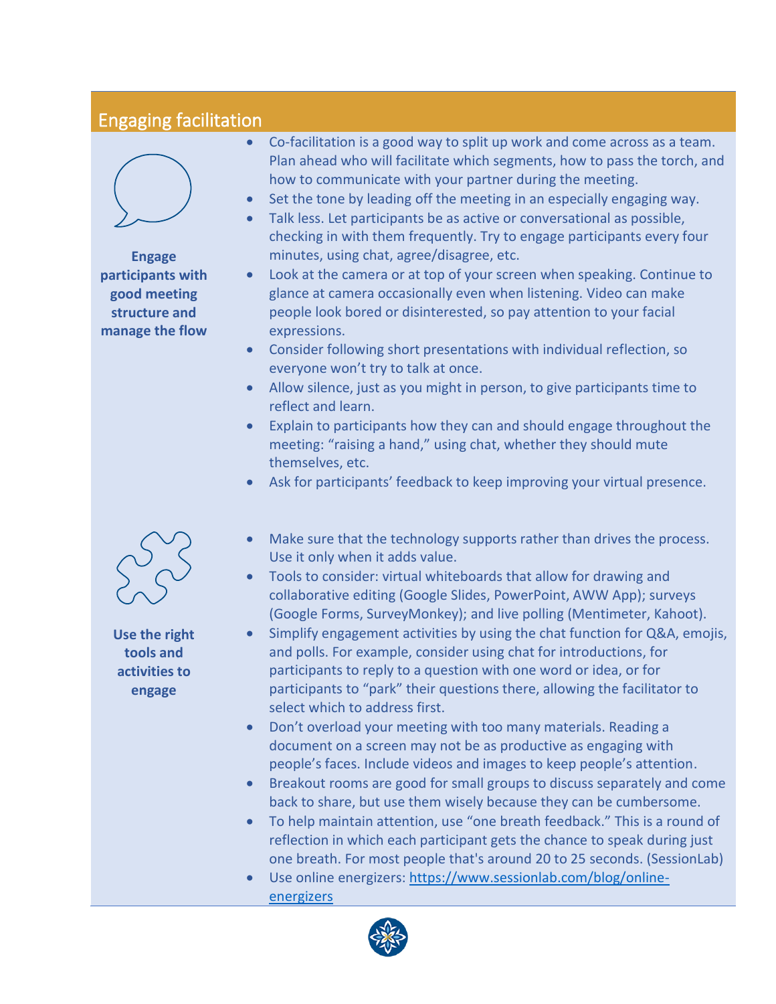## Engaging facilitation



**Engage participants with good meeting structure and manage the flow**



- Set the tone by leading off the meeting in an especially engaging way.
- Talk less. Let participants be as active or conversational as possible, checking in with them frequently. Try to engage participants every four minutes, using chat, agree/disagree, etc.
- Look at the camera or at top of your screen when speaking. Continue to glance at camera occasionally even when listening. Video can make people look bored or disinterested, so pay attention to your facial expressions.
- Consider following short presentations with individual reflection, so everyone won't try to talk at once.
- Allow silence, just as you might in person, to give participants time to reflect and learn.
- Explain to participants how they can and should engage throughout the meeting: "raising a hand," using chat, whether they should mute themselves, etc.
- Ask for participants' feedback to keep improving your virtual presence.
- Make sure that the technology supports rather than drives the process. Use it only when it adds value.
- Tools to consider: virtual whiteboards that allow for drawing and collaborative editing (Google Slides, PowerPoint, AWW App); surveys (Google Forms, SurveyMonkey); and live polling (Mentimeter, Kahoot).
- Simplify engagement activities by using the chat function for Q&A, emojis, and polls. For example, consider using chat for introductions, for participants to reply to a question with one word or idea, or for participants to "park" their questions there, allowing the facilitator to select which to address first.
- Don't overload your meeting with too many materials. Reading a document on a screen may not be as productive as engaging with people's faces. Include videos and images to keep people's attention.
- Breakout rooms are good for small groups to discuss separately and come back to share, but use them wisely because they can be cumbersome.
- To help maintain attention, use "one breath feedback." This is a round of reflection in which each participant gets the chance to speak during just one breath. For most people that's around 20 to 25 seconds. (SessionLab)
- Use online energizers: [https://www.sessionlab.com/blog/online](https://www.sessionlab.com/blog/online-energizers)[energizers](https://www.sessionlab.com/blog/online-energizers)



**Use the right** 

**tools and activities to engage**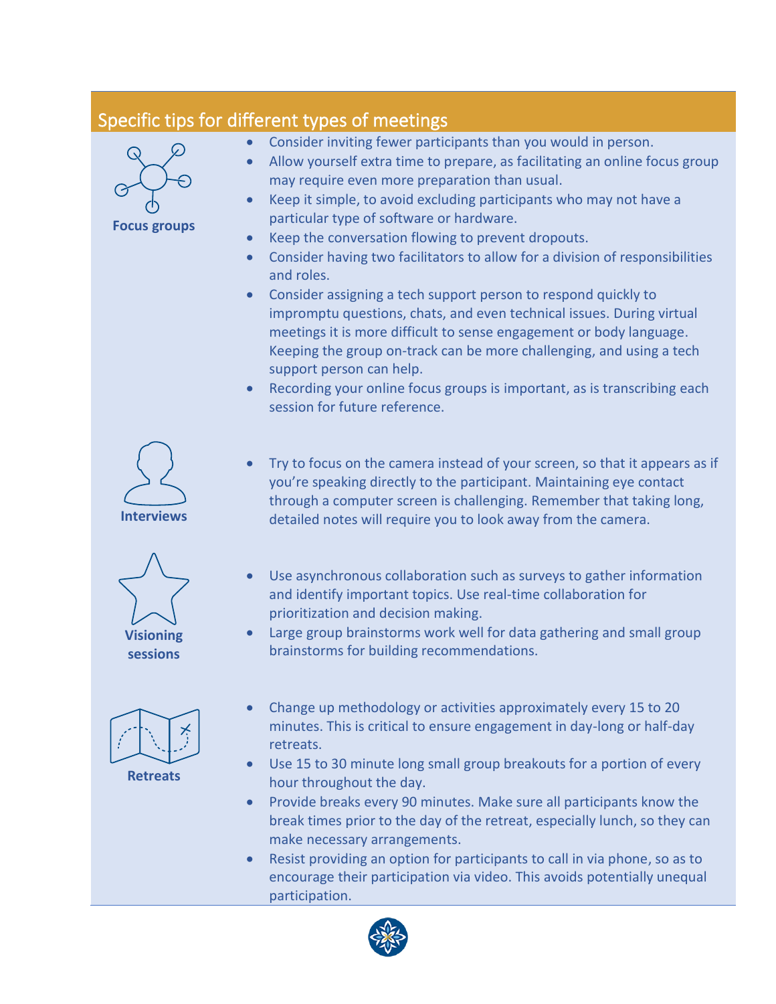## Specific tips for different types of meetings

**Focus groups**

- Consider inviting fewer participants than you would in person.
- Allow yourself extra time to prepare, as facilitating an online focus group may require even more preparation than usual.
- Keep it simple, to avoid excluding participants who may not have a particular type of software or hardware.
- Keep the conversation flowing to prevent dropouts.
- Consider having two facilitators to allow for a division of responsibilities and roles.
- Consider assigning a tech support person to respond quickly to impromptu questions, chats, and even technical issues. During virtual meetings it is more difficult to sense engagement or body language. Keeping the group on-track can be more challenging, and using a tech support person can help.
- Recording your online focus groups is important, as is transcribing each session for future reference.



- Try to focus on the camera instead of your screen, so that it appears as if you're speaking directly to the participant. Maintaining eye contact through a computer screen is challenging. Remember that taking long, detailed notes will require you to look away from the camera.
- Use asynchronous collaboration such as surveys to gather information and identify important topics. Use real-time collaboration for prioritization and decision making.
- Large group brainstorms work well for data gathering and small group brainstorms for building recommendations.
- 

**Visioning sessions**

**Retreats**

- Change up methodology or activities approximately every 15 to 20 minutes. This is critical to ensure engagement in day-long or half-day retreats.
- Use 15 to 30 minute long small group breakouts for a portion of every hour throughout the day.
- Provide breaks every 90 minutes. Make sure all participants know the break times prior to the day of the retreat, especially lunch, so they can make necessary arrangements.
- Resist providing an option for participants to call in via phone, so as to encourage their participation via video. This avoids potentially unequal participation.